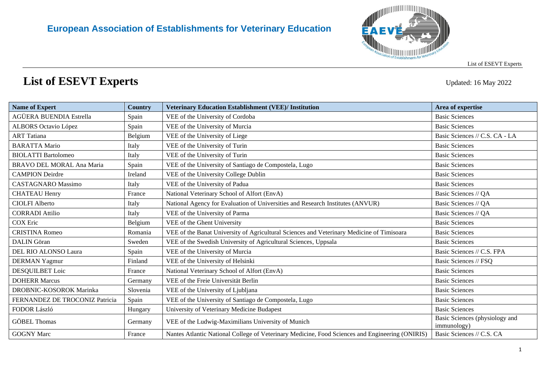

## **List of ESEVT Experts** Updated: 16 May <sup>2022</sup>

| <b>Name of Expert</b>          | <b>Country</b> | <b>Veterinary Education Establishment (VEE)/ Institution</b>                                    | Area of expertise                             |
|--------------------------------|----------------|-------------------------------------------------------------------------------------------------|-----------------------------------------------|
| AGÜERA BUENDIA Estrella        | Spain          | VEE of the University of Cordoba                                                                | <b>Basic Sciences</b>                         |
| <b>ALBORS</b> Octavio López    | Spain          | VEE of the University of Murcia                                                                 | <b>Basic Sciences</b>                         |
| <b>ART</b> Tatiana             | Belgium        | VEE of the University of Liege                                                                  | Basic Sciences // C.S. CA - LA                |
| <b>BARATTA Mario</b>           | Italy          | VEE of the University of Turin                                                                  | <b>Basic Sciences</b>                         |
| <b>BIOLATTI Bartolomeo</b>     | Italy          | VEE of the University of Turin                                                                  | <b>Basic Sciences</b>                         |
| BRAVO DEL MORAL Ana Maria      | Spain          | VEE of the University of Santiago de Compostela, Lugo                                           | <b>Basic Sciences</b>                         |
| <b>CAMPION</b> Deirdre         | Ireland        | VEE of the University College Dublin                                                            | <b>Basic Sciences</b>                         |
| <b>CASTAGNARO</b> Massimo      | Italy          | VEE of the University of Padua                                                                  | <b>Basic Sciences</b>                         |
| <b>CHATEAU Henry</b>           | France         | National Veterinary School of Alfort (EnvA)                                                     | Basic Sciences // QA                          |
| <b>CIOLFI Alberto</b>          | Italy          | National Agency for Evaluation of Universities and Research Institutes (ANVUR)                  | Basic Sciences // QA                          |
| <b>CORRADI</b> Attilio         | Italy          | VEE of the University of Parma                                                                  | Basic Sciences // QA                          |
| <b>COX</b> Eric                | Belgium        | VEE of the Ghent University                                                                     | <b>Basic Sciences</b>                         |
| <b>CRISTINA Romeo</b>          | Romania        | VEE of the Banat University of Agricultural Sciences and Veterinary Medicine of Timisoara       | <b>Basic Sciences</b>                         |
| <b>DALIN</b> Göran             | Sweden         | VEE of the Swedish University of Agricultural Sciences, Uppsala                                 | <b>Basic Sciences</b>                         |
| DEL RIO ALONSO Laura           | Spain          | VEE of the University of Murcia                                                                 | Basic Sciences // C.S. FPA                    |
| <b>DERMAN Yagmur</b>           | Finland        | VEE of the University of Helsinki                                                               | Basic Sciences // FSQ                         |
| DESQUILBET Loic                | France         | National Veterinary School of Alfort (EnvA)                                                     | <b>Basic Sciences</b>                         |
| <b>DOHERR Marcus</b>           | Germany        | VEE of the Freie Universität Berlin                                                             | <b>Basic Sciences</b>                         |
| DROBNIC-KOSOROK Marinka        | Slovenia       | VEE of the University of Ljubljana                                                              | <b>Basic Sciences</b>                         |
| FERNANDEZ DE TROCONIZ Patricia | Spain          | VEE of the University of Santiago de Compostela, Lugo                                           | <b>Basic Sciences</b>                         |
| FODOR László                   | Hungary        | University of Veterinary Medicine Budapest                                                      | <b>Basic Sciences</b>                         |
| <b>GÖBEL Thomas</b>            | Germany        | VEE of the Ludwig-Maximilians University of Munich                                              | Basic Sciences (physiology and<br>immunology) |
| <b>GOGNY Marc</b>              | France         | Nantes Atlantic National College of Veterinary Medicine, Food Sciences and Engineering (ONIRIS) | Basic Sciences // C.S. CA                     |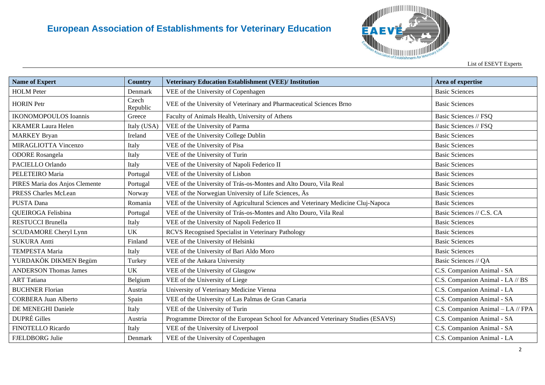

| <b>Name of Expert</b>          | <b>Country</b>    | Veterinary Education Establishment (VEE)/ Institution                              | Area of expertise                 |
|--------------------------------|-------------------|------------------------------------------------------------------------------------|-----------------------------------|
| <b>HOLM</b> Peter              | Denmark           | VEE of the University of Copenhagen                                                | <b>Basic Sciences</b>             |
| <b>HORIN</b> Petr              | Czech<br>Republic | VEE of the University of Veterinary and Pharmaceutical Sciences Brno               | <b>Basic Sciences</b>             |
| <b>IKONOMOPOULOS</b> Ioannis   | Greece            | Faculty of Animals Health, University of Athens                                    | Basic Sciences // FSQ             |
| <b>KRAMER Laura Helen</b>      | Italy (USA)       | VEE of the University of Parma                                                     | Basic Sciences // FSQ             |
| <b>MARKEY Bryan</b>            | Ireland           | VEE of the University College Dublin                                               | <b>Basic Sciences</b>             |
| MIRAGLIOTTA Vincenzo           | Italy             | VEE of the University of Pisa                                                      | <b>Basic Sciences</b>             |
| <b>ODORE</b> Rosangela         | Italy             | VEE of the University of Turin                                                     | <b>Basic Sciences</b>             |
| PACIELLO Orlando               | Italy             | VEE of the University of Napoli Federico II                                        | <b>Basic Sciences</b>             |
| PELETEIRO Maria                | Portugal          | VEE of the University of Lisbon                                                    | <b>Basic Sciences</b>             |
| PIRES Maria dos Anjos Clemente | Portugal          | VEE of the University of Trás-os-Montes and Alto Douro, Vila Real                  | <b>Basic Sciences</b>             |
| <b>PRESS Charles McLean</b>    | Norway            | VEE of the Norwegian University of Life Sciences, As                               | <b>Basic Sciences</b>             |
| PUSTA Dana                     | Romania           | VEE of the University of Agricultural Sciences and Veterinary Medicine Cluj-Napoca | <b>Basic Sciences</b>             |
| QUEIROGA Felisbina             | Portugal          | VEE of the University of Trás-os-Montes and Alto Douro, Vila Real                  | Basic Sciences // C.S. CA         |
| <b>RESTUCCI Brunella</b>       | Italy             | VEE of the University of Napoli Federico II                                        | <b>Basic Sciences</b>             |
| <b>SCUDAMORE</b> Cheryl Lynn   | <b>UK</b>         | RCVS Recognised Specialist in Veterinary Pathology                                 | <b>Basic Sciences</b>             |
| <b>SUKURA Antti</b>            | Finland           | VEE of the University of Helsinki                                                  | <b>Basic Sciences</b>             |
| <b>TEMPESTA Maria</b>          | Italy             | VEE of the University of Bari Aldo Moro                                            | <b>Basic Sciences</b>             |
| YURDAKÖK DIKMEN Begüm          | Turkey            | VEE of the Ankara University                                                       | Basic Sciences // QA              |
| <b>ANDERSON Thomas James</b>   | <b>UK</b>         | VEE of the University of Glasgow                                                   | C.S. Companion Animal - SA        |
| <b>ART</b> Tatiana             | Belgium           | VEE of the University of Liege                                                     | C.S. Companion Animal - LA // BS  |
| <b>BUCHNER Florian</b>         | Austria           | University of Veterinary Medicine Vienna                                           | C.S. Companion Animal - LA        |
| <b>CORBERA Juan Alberto</b>    | Spain             | VEE of the University of Las Palmas de Gran Canaria                                | C.S. Companion Animal - SA        |
| DE MENEGHI Daniele             | Italy             | VEE of the University of Turin                                                     | C.S. Companion Animal - LA // FPA |
| <b>DUPRÉ Gilles</b>            | Austria           | Programme Director of the European School for Advanced Veterinary Studies (ESAVS)  | C.S. Companion Animal - SA        |
| FINOTELLO Ricardo              | Italy             | VEE of the University of Liverpool                                                 | C.S. Companion Animal - SA        |
| FJELDBORG Julie                | Denmark           | VEE of the University of Copenhagen                                                | C.S. Companion Animal - LA        |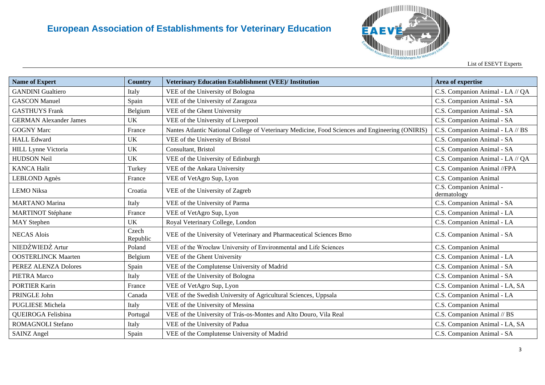

List of ESEVT Experts

| <b>Name of Expert</b>         | <b>Country</b>    | <b>Veterinary Education Establishment (VEE)/ Institution</b>                                    | Area of expertise                      |
|-------------------------------|-------------------|-------------------------------------------------------------------------------------------------|----------------------------------------|
| <b>GANDINI</b> Gualtiero      | Italy             | VEE of the University of Bologna                                                                | C.S. Companion Animal - LA // QA       |
| <b>GASCON Manuel</b>          | Spain             | VEE of the University of Zaragoza                                                               | C.S. Companion Animal - SA             |
| <b>GASTHUYS Frank</b>         | Belgium           | VEE of the Ghent University                                                                     | C.S. Companion Animal - SA             |
| <b>GERMAN Alexander James</b> | <b>UK</b>         | VEE of the University of Liverpool                                                              | C.S. Companion Animal - SA             |
| <b>GOGNY Marc</b>             | France            | Nantes Atlantic National College of Veterinary Medicine, Food Sciences and Engineering (ONIRIS) | C.S. Companion Animal - LA // BS       |
| <b>HALL Edward</b>            | <b>UK</b>         | VEE of the University of Bristol                                                                | C.S. Companion Animal - SA             |
| <b>HILL Lynne Victoria</b>    | UK                | Consultant, Bristol                                                                             | C.S. Companion Animal - SA             |
| <b>HUDSON Neil</b>            | <b>UK</b>         | VEE of the University of Edinburgh                                                              | C.S. Companion Animal - LA // QA       |
| <b>KANCA Halit</b>            | Turkey            | VEE of the Ankara University                                                                    | C.S. Companion Animal //FPA            |
| LEBLOND Agnès                 | France            | VEE of VetAgro Sup, Lyon                                                                        | C.S. Companion Animal                  |
| <b>LEMO Niksa</b>             | Croatia           | VEE of the University of Zagreb                                                                 | C.S. Companion Animal -<br>dermatology |
| <b>MARTANO</b> Marina         | Italy             | VEE of the University of Parma                                                                  | C.S. Companion Animal - SA             |
| <b>MARTINOT Stéphane</b>      | France            | VEE of VetAgro Sup, Lyon                                                                        | C.S. Companion Animal - LA             |
| <b>MAY</b> Stephen            | <b>UK</b>         | Royal Veterinary College, London                                                                | C.S. Companion Animal - LA             |
| <b>NECAS Alois</b>            | Czech<br>Republic | VEE of the University of Veterinary and Pharmaceutical Sciences Brno                            | C.S. Companion Animal - SA             |
| NIEDŹWIEDŹ Artur              | Poland            | VEE of the Wrocław University of Environmental and Life Sciences                                | C.S. Companion Animal                  |
| <b>OOSTERLINCK Maarten</b>    | Belgium           | VEE of the Ghent University                                                                     | C.S. Companion Animal - LA             |
| PEREZ ALENZA Dolores          | Spain             | VEE of the Complutense University of Madrid                                                     | C.S. Companion Animal - SA             |
| PIETRA Marco                  | Italy             | VEE of the University of Bologna                                                                | C.S. Companion Animal - SA             |
| <b>PORTIER Karin</b>          | France            | VEE of VetAgro Sup, Lyon                                                                        | C.S. Companion Animal - LA, SA         |
| PRINGLE John                  | Canada            | VEE of the Swedish University of Agricultural Sciences, Uppsala                                 | C.S. Companion Animal - LA             |
| <b>PUGLIESE Michela</b>       | Italy             | VEE of the University of Messina                                                                | C.S. Companion Animal                  |
| QUEIROGA Felisbina            | Portugal          | VEE of the University of Trás-os-Montes and Alto Douro, Vila Real                               | C.S. Companion Animal // BS            |
| <b>ROMAGNOLI Stefano</b>      | Italy             | VEE of the University of Padua                                                                  | C.S. Companion Animal - LA, SA         |
| <b>SAINZ Angel</b>            | Spain             | VEE of the Complutense University of Madrid                                                     | C.S. Companion Animal - SA             |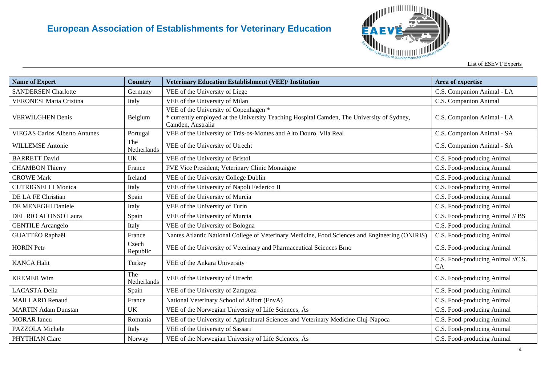

| <b>Name of Expert</b>                | Country            | <b>Veterinary Education Establishment (VEE)/ Institution</b>                                                                                             | Area of expertise                       |
|--------------------------------------|--------------------|----------------------------------------------------------------------------------------------------------------------------------------------------------|-----------------------------------------|
| <b>SANDERSEN Charlotte</b>           | Germany            | VEE of the University of Liege                                                                                                                           | C.S. Companion Animal - LA              |
| <b>VERONESI Maria Cristina</b>       | Italy              | VEE of the University of Milan                                                                                                                           | C.S. Companion Animal                   |
| <b>VERWILGHEN Denis</b>              | Belgium            | VEE of the University of Copenhagen *<br>* currently employed at the University Teaching Hospital Camden, The University of Sydney,<br>Camden, Australia | C.S. Companion Animal - LA              |
| <b>VIEGAS Carlos Alberto Antunes</b> | Portugal           | VEE of the University of Trás-os-Montes and Alto Douro, Vila Real                                                                                        | C.S. Companion Animal - SA              |
| <b>WILLEMSE Antonie</b>              | The<br>Netherlands | VEE of the University of Utrecht                                                                                                                         | C.S. Companion Animal - SA              |
| <b>BARRETT David</b>                 | <b>UK</b>          | VEE of the University of Bristol                                                                                                                         | C.S. Food-producing Animal              |
| <b>CHAMBON Thierry</b>               | France             | FVE Vice President; Veterinary Clinic Montaigne                                                                                                          | C.S. Food-producing Animal              |
| <b>CROWE Mark</b>                    | Ireland            | VEE of the University College Dublin                                                                                                                     | C.S. Food-producing Animal              |
| <b>CUTRIGNELLI Monica</b>            | Italy              | VEE of the University of Napoli Federico II                                                                                                              | C.S. Food-producing Animal              |
| DE LA FE Christian                   | Spain              | VEE of the University of Murcia                                                                                                                          | C.S. Food-producing Animal              |
| DE MENEGHI Daniele                   | Italy              | VEE of the University of Turin                                                                                                                           | C.S. Food-producing Animal              |
| DEL RIO ALONSO Laura                 | Spain              | VEE of the University of Murcia                                                                                                                          | C.S. Food-producing Animal // BS        |
| <b>GENTILE Arcangelo</b>             | Italy              | VEE of the University of Bologna                                                                                                                         | C.S. Food-producing Animal              |
| <b>GUATTÈO Raphaël</b>               | France             | Nantes Atlantic National College of Veterinary Medicine, Food Sciences and Engineering (ONIRIS)                                                          | C.S. Food-producing Animal              |
| <b>HORIN</b> Petr                    | Czech<br>Republic  | VEE of the University of Veterinary and Pharmaceutical Sciences Brno                                                                                     | C.S. Food-producing Animal              |
| <b>KANCA Halit</b>                   | Turkey             | VEE of the Ankara University                                                                                                                             | C.S. Food-producing Animal //C.S.<br>CA |
| <b>KREMER Wim</b>                    | The<br>Netherlands | VEE of the University of Utrecht                                                                                                                         | C.S. Food-producing Animal              |
| <b>LACASTA Delia</b>                 | Spain              | VEE of the University of Zaragoza                                                                                                                        | C.S. Food-producing Animal              |
| <b>MAILLARD Renaud</b>               | France             | National Veterinary School of Alfort (EnvA)                                                                                                              | C.S. Food-producing Animal              |
| <b>MARTIN Adam Dunstan</b>           | <b>UK</b>          | VEE of the Norwegian University of Life Sciences, Äs                                                                                                     | C.S. Food-producing Animal              |
| <b>MORAR</b> Iancu                   | Romania            | VEE of the University of Agricultural Sciences and Veterinary Medicine Cluj-Napoca                                                                       | C.S. Food-producing Animal              |
| PAZZOLA Michele                      | Italy              | VEE of the University of Sassari                                                                                                                         | C.S. Food-producing Animal              |
| PHYTHIAN Clare                       | Norway             | VEE of the Norwegian University of Life Sciences, As                                                                                                     | C.S. Food-producing Animal              |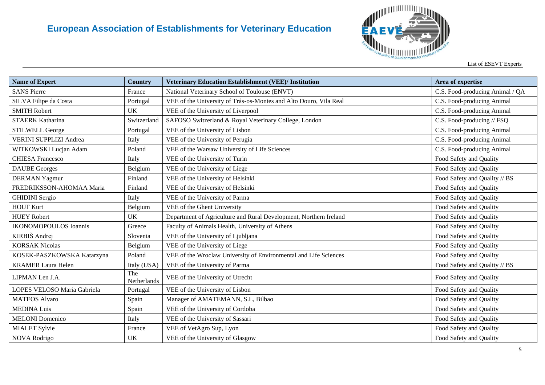

List of ESEVT Experts

| <b>Name of Expert</b>         | <b>Country</b>     | <b>Veterinary Education Establishment (VEE)/ Institution</b>      | Area of expertise               |
|-------------------------------|--------------------|-------------------------------------------------------------------|---------------------------------|
| <b>SANS Pierre</b>            | France             | National Veterinary School of Toulouse (ENVT)                     | C.S. Food-producing Animal / QA |
| SILVA Filipe da Costa         | Portugal           | VEE of the University of Trás-os-Montes and Alto Douro, Vila Real | C.S. Food-producing Animal      |
| <b>SMITH Robert</b>           | UK                 | VEE of the University of Liverpool                                | C.S. Food-producing Animal      |
| <b>STAERK Katharina</b>       | Switzerland        | SAFOSO Switzerland & Royal Veterinary College, London             | C.S. Food-producing // FSQ      |
| <b>STILWELL George</b>        | Portugal           | VEE of the University of Lisbon                                   | C.S. Food-producing Animal      |
| <b>VERINI SUPPLIZI Andrea</b> | Italy              | VEE of the University of Perugia                                  | C.S. Food-producing Animal      |
| WITKOWSKI Lucjan Adam         | Poland             | VEE of the Warsaw University of Life Sciences                     | C.S. Food-producing Animal      |
| <b>CHIESA Francesco</b>       | Italy              | VEE of the University of Turin                                    | Food Safety and Quality         |
| <b>DAUBE</b> Georges          | Belgium            | VEE of the University of Liege                                    | Food Safety and Quality         |
| <b>DERMAN Yagmur</b>          | Finland            | VEE of the University of Helsinki                                 | Food Safety and Quality // BS   |
| FREDRIKSSON-AHOMAA Maria      | Finland            | VEE of the University of Helsinki                                 | Food Safety and Quality         |
| <b>GHIDINI</b> Sergio         | Italy              | VEE of the University of Parma                                    | Food Safety and Quality         |
| <b>HOUF Kurt</b>              | Belgium            | VEE of the Ghent University                                       | Food Safety and Quality         |
| <b>HUEY Robert</b>            | UK                 | Department of Agriculture and Rural Development, Northern Ireland | Food Safety and Quality         |
| <b>IKONOMOPOULOS Ioannis</b>  | Greece             | Faculty of Animals Health, University of Athens                   | Food Safety and Quality         |
| KIRBIŠ Andrej                 | Slovenia           | VEE of the University of Ljubljana                                | Food Safety and Quality         |
| <b>KORSAK Nicolas</b>         | Belgium            | VEE of the University of Liege                                    | Food Safety and Quality         |
| KOSEK-PASZKOWSKA Katarzyna    | Poland             | VEE of the Wroclaw University of Environmental and Life Sciences  | Food Safety and Quality         |
| <b>KRAMER Laura Helen</b>     | Italy (USA)        | VEE of the University of Parma                                    | Food Safety and Quality // BS   |
| LIPMAN Len J.A.               | The<br>Netherlands | VEE of the University of Utrecht                                  | Food Safety and Quality         |
| LOPES VELOSO Maria Gabriela   | Portugal           | VEE of the University of Lisbon                                   | Food Safety and Quality         |
| <b>MATEOS Alvaro</b>          | Spain              | Manager of AMATEMANN, S.L, Bilbao                                 | Food Safety and Quality         |
| <b>MEDINA Luis</b>            | Spain              | VEE of the University of Cordoba                                  | Food Safety and Quality         |
| <b>MELONI</b> Domenico        | Italy              | VEE of the University of Sassari                                  | Food Safety and Quality         |
| <b>MIALET Sylvie</b>          | France             | VEE of VetAgro Sup, Lyon                                          | Food Safety and Quality         |
| <b>NOVA</b> Rodrigo           | UK                 | VEE of the University of Glasgow                                  | Food Safety and Quality         |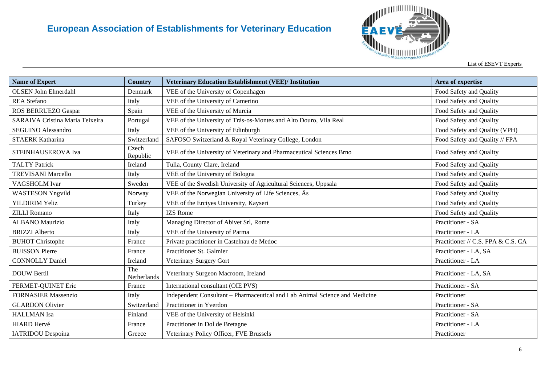

| <b>Name of Expert</b>           | <b>Country</b>     | <b>Veterinary Education Establishment (VEE)/ Institution</b>                | Area of expertise                  |
|---------------------------------|--------------------|-----------------------------------------------------------------------------|------------------------------------|
| <b>OLSEN John Elmerdahl</b>     | Denmark            | VEE of the University of Copenhagen                                         | Food Safety and Quality            |
| <b>REA</b> Stefano              | Italy              | VEE of the University of Camerino                                           | Food Safety and Quality            |
| ROS BERRUEZO Gaspar             | Spain              | VEE of the University of Murcia                                             | Food Safety and Quality            |
| SARAIVA Cristina Maria Teixeira | Portugal           | VEE of the University of Trás-os-Montes and Alto Douro, Vila Real           | Food Safety and Quality            |
| <b>SEGUINO Alessandro</b>       | Italy              | VEE of the University of Edinburgh                                          | Food Safety and Quality (VPH)      |
| <b>STAERK Katharina</b>         | Switzerland        | SAFOSO Switzerland & Royal Veterinary College, London                       | Food Safety and Quality // FPA     |
| STEINHAUSEROVA Iva              | Czech<br>Republic  | VEE of the University of Veterinary and Pharmaceutical Sciences Brno        | Food Safety and Quality            |
| <b>TALTY Patrick</b>            | Ireland            | Tulla, County Clare, Ireland                                                | Food Safety and Quality            |
| <b>TREVISANI Marcello</b>       | Italy              | VEE of the University of Bologna                                            | Food Safety and Quality            |
| VAGSHOLM Ivar                   | Sweden             | VEE of the Swedish University of Agricultural Sciences, Uppsala             | Food Safety and Quality            |
| <b>WASTESON Yngvild</b>         | Norway             | VEE of the Norwegian University of Life Sciences, Äs                        | Food Safety and Quality            |
| <b>YILDIRIM Yeliz</b>           | Turkey             | VEE of the Erciyes University, Kayseri                                      | Food Safety and Quality            |
| <b>ZILLI Romano</b>             | Italy              | <b>IZS</b> Rome                                                             | Food Safety and Quality            |
| <b>ALBANO</b> Maurizio          | Italy              | Managing Director of Abivet Srl, Rome                                       | Practitioner - SA                  |
| <b>BRIZZI</b> Alberto           | Italy              | VEE of the University of Parma                                              | Practitioner - LA                  |
| <b>BUHOT</b> Christophe         | France             | Private practitioner in Castelnau de Medoc                                  | Practitioner // C.S. FPA & C.S. CA |
| <b>BUISSON Pierre</b>           | France             | Practitioner St. Galmier                                                    | Practitioner - LA, SA              |
| <b>CONNOLLY Daniel</b>          | Ireland            | Veterinary Surgery Gort                                                     | Practitioner - LA                  |
| <b>DOUW Bertil</b>              | The<br>Netherlands | Veterinary Surgeon Macroom, Ireland                                         | Practitioner - LA, SA              |
| FERMET-QUINET Eric              | France             | International consultant (OIE PVS)                                          | Practitioner - SA                  |
| <b>FORNASIER Massenzio</b>      | Italy              | Independent Consultant - Pharmaceutical and Lab Animal Science and Medicine | Practitioner                       |
| <b>GLARDON Olivier</b>          | Switzerland        | Practitioner in Yverdon                                                     | Practitioner - SA                  |
| <b>HALLMAN</b> Isa              | Finland            | VEE of the University of Helsinki                                           | Practitioner - SA                  |
| <b>HIARD Hervé</b>              | France             | Practitioner in Dol de Bretagne                                             | Practitioner - LA                  |
| <b>IATRIDOU</b> Despoina        | Greece             | Veterinary Policy Officer, FVE Brussels                                     | Practitioner                       |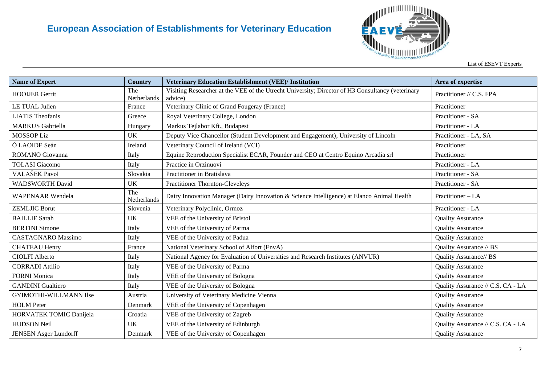

List of ESEVT Experts

| <b>Name of Expert</b>        | Country            | <b>Veterinary Education Establishment (VEE)/ Institution</b>                                                | Area of expertise                 |
|------------------------------|--------------------|-------------------------------------------------------------------------------------------------------------|-----------------------------------|
| <b>HOOIJER Gerrit</b>        | The<br>Netherlands | Visiting Researcher at the VEE of the Utrecht University; Director of H3 Consultancy (veterinary<br>advice) | Practitioner // C.S. FPA          |
| LE TUAL Julien               | France             | Veterinary Clinic of Grand Fougeray (France)                                                                | Practitioner                      |
| <b>LIATIS</b> Theofanis      | Greece             | Royal Veterinary College, London                                                                            | Practitioner - SA                 |
| <b>MARKUS</b> Gabriella      | Hungary            | Markus Tejlabor Kft., Budapest                                                                              | Practitioner - LA                 |
| <b>MOSSOP Liz</b>            | <b>UK</b>          | Deputy Vice Chancellor (Student Development and Engagement), University of Lincoln                          | Practitioner - LA, SA             |
| Ó LAOIDE Seán                | Ireland            | Veterinary Council of Ireland (VCI)                                                                         | Practitioner                      |
| ROMANO Giovanna              | Italy              | Equine Reproduction Specialist ECAR, Founder and CEO at Centro Equino Arcadia srl                           | Practitioner                      |
| <b>TOLASI</b> Giacomo        | Italy              | Practice in Orzinuovi                                                                                       | Practitioner - LA                 |
| VALAŠEK Pavol                | Slovakia           | Practitioner in Bratislava                                                                                  | Practitioner - SA                 |
| <b>WADSWORTH David</b>       | <b>UK</b>          | <b>Practitioner Thornton-Cleveleys</b>                                                                      | Practitioner - SA                 |
| <b>WAPENAAR</b> Wendela      | The<br>Netherlands | Dairy Innovation Manager (Dairy Innovation & Science Intelligence) at Elanco Animal Health                  | Practitioner - LA                 |
| <b>ZEMLJIC Borut</b>         | Slovenia           | Veterinary Polyclinic, Ormoz                                                                                | Practitioner - LA                 |
| <b>BAILLIE</b> Sarah         | <b>UK</b>          | VEE of the University of Bristol                                                                            | <b>Quality Assurance</b>          |
| <b>BERTINI</b> Simone        | Italy              | VEE of the University of Parma                                                                              | <b>Quality Assurance</b>          |
| <b>CASTAGNARO</b> Massimo    | Italy              | VEE of the University of Padua                                                                              | <b>Quality Assurance</b>          |
| <b>CHATEAU Henry</b>         | France             | National Veterinary School of Alfort (EnvA)                                                                 | Quality Assurance // BS           |
| <b>CIOLFI Alberto</b>        | Italy              | National Agency for Evaluation of Universities and Research Institutes (ANVUR)                              | Quality Assurance// BS            |
| <b>CORRADI</b> Attilio       | Italy              | VEE of the University of Parma                                                                              | <b>Quality Assurance</b>          |
| <b>FORNI Monica</b>          | Italy              | VEE of the University of Bologna                                                                            | <b>Quality Assurance</b>          |
| <b>GANDINI</b> Gualtiero     | Italy              | VEE of the University of Bologna                                                                            | Quality Assurance // C.S. CA - LA |
| GYIMOTHI-WILLMANN Ilse       | Austria            | University of Veterinary Medicine Vienna                                                                    | <b>Quality Assurance</b>          |
| <b>HOLM</b> Peter            | Denmark            | VEE of the University of Copenhagen                                                                         | <b>Quality Assurance</b>          |
| HORVATEK TOMIC Danijela      | Croatia            | VEE of the University of Zagreb                                                                             | <b>Quality Assurance</b>          |
| <b>HUDSON Neil</b>           | <b>UK</b>          | VEE of the University of Edinburgh                                                                          | Quality Assurance // C.S. CA - LA |
| <b>JENSEN Asger Lundorff</b> | Denmark            | VEE of the University of Copenhagen                                                                         | <b>Quality Assurance</b>          |